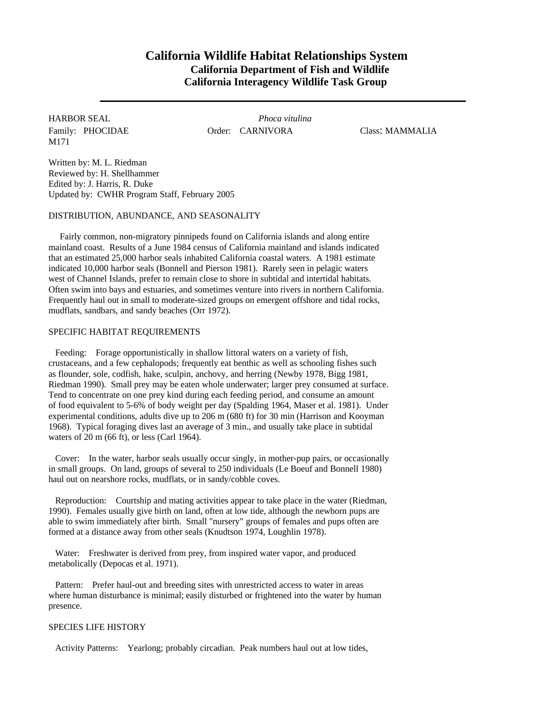# **California Wildlife Habitat Relationships System California Department of Fish and Wildlife California Interagency Wildlife Task Group**

M171

HARBOR SEAL *Phoca vitulina* Family: PHOCIDAE Order: CARNIVORA Class: MAMMALIA

Written by: M. L. Riedman Reviewed by: H. Shellhammer Edited by: J. Harris, R. Duke Updated by: CWHR Program Staff, February 2005

#### DISTRIBUTION, ABUNDANCE, AND SEASONALITY

Fairly common, non-migratory pinnipeds found on California islands and along entire mainland coast. Results of a June 1984 census of California mainland and islands indicated that an estimated 25,000 harbor seals inhabited California coastal waters. A 1981 estimate indicated 10,000 harbor seals (Bonnell and Pierson 1981). Rarely seen in pelagic waters west of Channel Islands, prefer to remain close to shore in subtidal and intertidal habitats. Often swim into bays and estuaries, and sometimes venture into rivers in northern California. Frequently haul out in small to moderate-sized groups on emergent offshore and tidal rocks, mudflats, sandbars, and sandy beaches (Orr 1972).

## SPECIFIC HABITAT REQUIREMENTS

Feeding: Forage opportunistically in shallow littoral waters on a variety of fish, crustaceans, and a few cephalopods; frequently eat benthic as well as schooling fishes such as flounder, sole, codfish, hake, sculpin, anchovy, and herring (Newby 1978, Bigg 1981, Riedman 1990). Small prey may be eaten whole underwater; larger prey consumed at surface. Tend to concentrate on one prey kind during each feeding period, and consume an amount of food equivalent to 5-6% of body weight per day (Spalding 1964, Maser et al. 1981). Under experimental conditions, adults dive up to 206 m (680 ft) for 30 min (Harrison and Kooyman 1968). Typical foraging dives last an average of 3 min., and usually take place in subtidal waters of 20 m (66 ft), or less (Carl 1964).

Cover: In the water, harbor seals usually occur singly, in mother-pup pairs, or occasionally in small groups. On land, groups of several to 250 individuals (Le Boeuf and Bonnell 1980) haul out on nearshore rocks, mudflats, or in sandy/cobble coves.

Reproduction: Courtship and mating activities appear to take place in the water (Riedman, 1990). Females usually give birth on land, often at low tide, although the newborn pups are able to swim immediately after birth. Small "nursery" groups of females and pups often are formed at a distance away from other seals (Knudtson 1974, Loughlin 1978).

Water: Freshwater is derived from prey, from inspired water vapor, and produced metabolically (Depocas et al. 1971).

Pattern: Prefer haul-out and breeding sites with unrestricted access to water in areas where human disturbance is minimal; easily disturbed or frightened into the water by human presence.

## SPECIES LIFE HISTORY

Activity Patterns: Yearlong; probably circadian. Peak numbers haul out at low tides,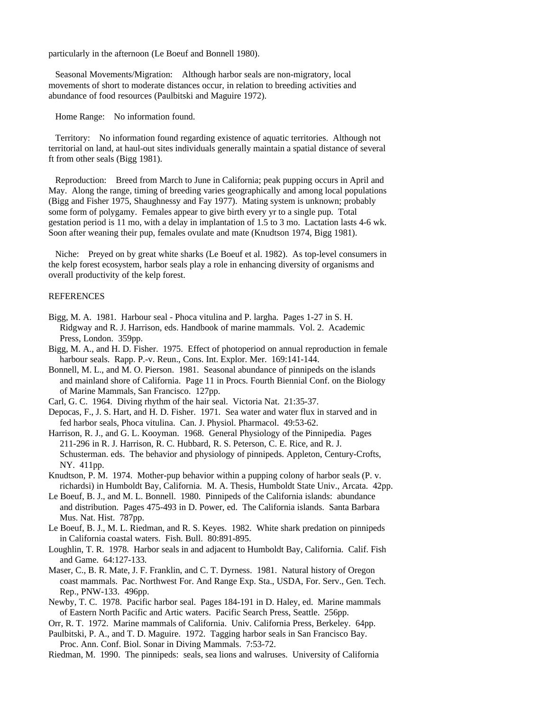particularly in the afternoon (Le Boeuf and Bonnell 1980).

Seasonal Movements/Migration: Although harbor seals are non-migratory, local movements of short to moderate distances occur, in relation to breeding activities and abundance of food resources (Paulbitski and Maguire 1972).

Home Range: No information found.

Territory: No information found regarding existence of aquatic territories. Although not territorial on land, at haul-out sites individuals generally maintain a spatial distance of several ft from other seals (Bigg 1981).

Reproduction: Breed from March to June in California; peak pupping occurs in April and May. Along the range, timing of breeding varies geographically and among local populations (Bigg and Fisher 1975, Shaughnessy and Fay 1977). Mating system is unknown; probably some form of polygamy. Females appear to give birth every yr to a single pup. Total gestation period is 11 mo, with a delay in implantation of 1.5 to 3 mo. Lactation lasts 4-6 wk. Soon after weaning their pup, females ovulate and mate (Knudtson 1974, Bigg 1981).

Niche: Preyed on by great white sharks (Le Boeuf et al. 1982). As top-level consumers in the kelp forest ecosystem, harbor seals play a role in enhancing diversity of organisms and overall productivity of the kelp forest.

#### REFERENCES

- Bigg, M. A. 1981. Harbour seal Phoca vitulina and P. largha. Pages 1-27 in S. H. Ridgway and R. J. Harrison, eds. Handbook of marine mammals. Vol. 2. Academic Press, London. 359pp.
- Bigg, M. A., and H. D. Fisher. 1975. Effect of photoperiod on annual reproduction in female harbour seals. Rapp. P.-v. Reun., Cons. Int. Explor. Mer. 169:141-144.
- Bonnell, M. L., and M. O. Pierson. 1981. Seasonal abundance of pinnipeds on the islands and mainland shore of California. Page 11 in Procs. Fourth Biennial Conf. on the Biology of Marine Mammals, San Francisco. 127pp.
- Carl, G. C. 1964. Diving rhythm of the hair seal. Victoria Nat. 21:35-37.
- Depocas, F., J. S. Hart, and H. D. Fisher. 1971. Sea water and water flux in starved and in fed harbor seals, Phoca vitulina. Can. J. Physiol. Pharmacol. 49:53-62.
- Harrison, R. J., and G. L. Kooyman. 1968. General Physiology of the Pinnipedia. Pages 211-296 in R. J. Harrison, R. C. Hubbard, R. S. Peterson, C. E. Rice, and R. J. Schusterman. eds. The behavior and physiology of pinnipeds. Appleton, Century-Crofts, NY. 411pp.
- Knudtson, P. M. 1974. Mother-pup behavior within a pupping colony of harbor seals (P. v. richardsi) in Humboldt Bay, California. M. A. Thesis, Humboldt State Univ., Arcata. 42pp.
- Le Boeuf, B. J., and M. L. Bonnell. 1980. Pinnipeds of the California islands: abundance and distribution. Pages 475-493 in D. Power, ed. The California islands. Santa Barbara Mus. Nat. Hist. 787pp.
- Le Boeuf, B. J., M. L. Riedman, and R. S. Keyes. 1982. White shark predation on pinnipeds in California coastal waters. Fish. Bull. 80:891-895.
- Loughlin, T. R. 1978. Harbor seals in and adjacent to Humboldt Bay, California. Calif. Fish and Game. 64:127-133.
- Maser, C., B. R. Mate, J. F. Franklin, and C. T. Dyrness. 1981. Natural history of Oregon coast mammals. Pac. Northwest For. And Range Exp. Sta., USDA, For. Serv., Gen. Tech. Rep., PNW-133. 496pp.
- Newby, T. C. 1978. Pacific harbor seal. Pages 184-191 in D. Haley, ed. Marine mammals of Eastern North Pacific and Artic waters. Pacific Search Press, Seattle. 256pp.
- Orr, R. T. 1972. Marine mammals of California. Univ. California Press, Berkeley. 64pp.
- Paulbitski, P. A., and T. D. Maguire. 1972. Tagging harbor seals in San Francisco Bay. Proc. Ann. Conf. Biol. Sonar in Diving Mammals. 7:53-72.
- Riedman, M. 1990. The pinnipeds: seals, sea lions and walruses. University of California